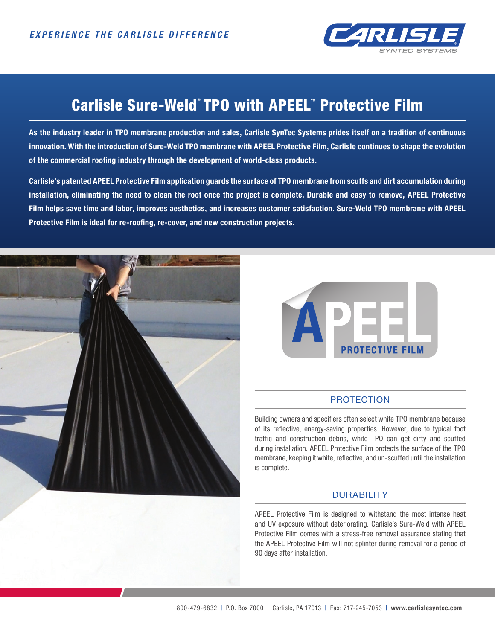

# Carlisle Sure-Weld°TPO with APEEL™ Protective Film

**As the industry leader in TPO membrane production and sales, Carlisle SynTec Systems prides itself on a tradition of continuous innovation. With the introduction of Sure-Weld TPO membrane with APEEL Protective Film, Carlisle continues to shape the evolution of the commercial roofing industry through the development of world-class products.**

**Carlisle's patented APEEL Protective Film application guards the surface of TPO membrane from scuffs and dirt accumulation during installation, eliminating the need to clean the roof once the project is complete. Durable and easy to remove, APEEL Protective Film helps save time and labor, improves aesthetics, and increases customer satisfaction. Sure-Weld TPO membrane with APEEL Protective Film is ideal for re-roofing, re-cover, and new construction projects.** 





### **PROTECTION**

Building owners and specifiers often select white TPO membrane because of its reflective, energy-saving properties. However, due to typical foot traffic and construction debris, white TPO can get dirty and scuffed during installation. APEEL Protective Film protects the surface of the TPO membrane, keeping it white, reflective, and un-scuffed until the installation is complete.

## DURABILITY

APEEL Protective Film is designed to withstand the most intense heat and UV exposure without deteriorating. Carlisle's Sure-Weld with APEEL Protective Film comes with a stress-free removal assurance stating that the APEEL Protective Film will not splinter during removal for a period of 90 days after installation.